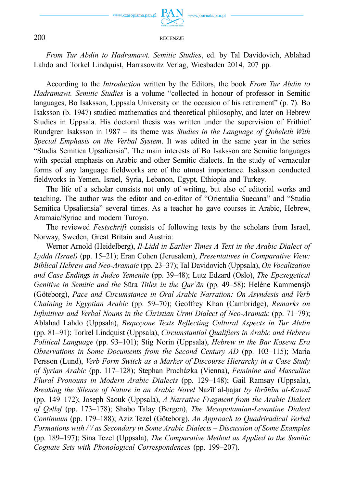

www.journals.pan.pl

## 200 RECENZJE

*From Tur Abdin to Hadramawt. Semitic Studies*, ed. by Tal Davidovich, Ablahad Lahdo and Torkel Lindquist, Harrasowitz Verlag, Wiesbaden 2014, 207 pp.

According to the *Introduction* written by the Editors, the book *From Tur Abdin to Hadramawt. Semitic Studies* is a volume "collected in honour of professor in Semitic languages, Bo Isaksson, Uppsala University on the occasion of his retirement" (p. 7). Bo Isaksson (b. 1947) studied mathematics and theoretical philosophy, and later on Hebrew Studies in Uppsala. His doctoral thesis was written under the supervision of Frithiof Rundgren Isaksson in 1987 – its theme was *Studies in the Language of Qoheleth With Special Emphasis on the Verbal System*. It was edited in the same year in the series "Studia Semitica Upsaliensia". The main interests of Bo Isaksson are Semitic languages with special emphasis on Arabic and other Semitic dialects. In the study of vernacular forms of any language fieldworks are of the utmost importance. Isaksson conducted fieldworks in Yemen, Israel, Syria, Lebanon, Egypt, Ethiopia and Turkey.

The life of a scholar consists not only of writing, but also of editorial works and teaching. The author was the editor and co-editor of "Orientalia Suecana" and "Studia Semitica Upsaliensia" several times. As a teacher he gave courses in Arabic, Hebrew, Aramaic/Syriac and modern Turoyo.

The reviewed *Festschrift* consists of following texts by the scholars from Israel, Norway, Sweden, Great Britain and Austria:

Werner Arnold (Heidelberg), *Il-Lidd in Earlier Times A Text in the Arabic Dialect of Lydda (Israel)* (pp. 15–21); Eran Cohen (Jerusalem), *Presentatives in Comparative View: Biblical Hebrew and Neo-Aramaic* (pp. 23–37); Tal Davidovich (Uppsala), *On Vocalization and Case Endings in Judeo Yemenite* (pp. 39–48); Lutz Edzard (Oslo), *The Epexegetical Genitive in Semitic and the* Sūra *Titles in the Qurʾān* (pp. 49–58); Heléne Kammensjö (Göteborg), *Pace and Circumstance in Oral Arabic Narration: On Asyndesis and Verb Chaining in Egyptian Arabic* (pp. 59–70); Geoffrey Khan (Cambridge), *Remarks on Infinitives and Verbal Nouns in the Christian Urmi Dialect of Neo-Aramaic* (pp. 71–79); Ablahad Lahdo (Uppsala), *Bequsyone Texts Reflecting Cultural Aspects in Tur Abdin* (pp. 81–91); Torkel Lindquist (Uppsala), *Circumstantial Qualifiers in Arabic and Hebrew Political Language* (pp. 93–101); Stig Norin (Uppsala), *Hebrew in the Bar Koseva Era Observations in Some Documents from the Second Century AD* (pp. 103–115); Maria Persson (Lund), *Verb Form Switch as a Marker of Discourse Hierarchy in a Case Study of Syrian Arabic* (pp. 117–128); Stephan Procházka (Vienna), *Feminine and Masculine Plural Pronouns in Modern Arabic Dialects* (pp. 129–148); Gail Ramsay (Uppsala), *Breaking the Silence of Nature in an Arabic Novel* Nazīf al-ḥajar *by Ibrāhīm al-Kawnī* (pp. 149–172); Joseph Saouk (Uppsala), *A Narrative Fragment from the Arabic Dialect of Qǝllǝf* (pp. 173–178); Shabo Talay (Bergen), *The Mesopotamian-Levantine Dialect Continuum* (pp. 179–188); Aziz Tezel (Göteborg), *An Approach to Quadriradical Verbal Formations with /ʿ/ as Secondary in Some Arabic Dialects – Discussion of Some Examples* (pp. 189–197); Sina Tezel (Uppsala), *The Comparative Method as Applied to the Semitic Cognate Sets with Phonological Correspondences* (pp. 199–207).